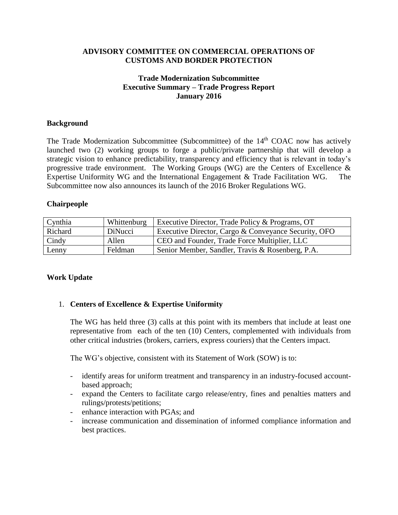#### **ADVISORY COMMITTEE ON COMMERCIAL OPERATIONS OF CUSTOMS AND BORDER PROTECTION**

# **Trade Modernization Subcommittee Executive Summary – Trade Progress Report January 2016**

### **Background**

The Trade Modernization Subcommittee (Subcommittee) of the 14<sup>th</sup> COAC now has actively launched two (2) working groups to forge a public/private partnership that will develop a strategic vision to enhance predictability, transparency and efficiency that is relevant in today's progressive trade environment. The Working Groups (WG) are the Centers of Excellence & Expertise Uniformity WG and the International Engagement & Trade Facilitation WG. The Subcommittee now also announces its launch of the 2016 Broker Regulations WG.

#### **Chairpeople**

| Cynthia | Whittenburg | Executive Director, Trade Policy & Programs, OT      |
|---------|-------------|------------------------------------------------------|
| Richard | DiNucci     | Executive Director, Cargo & Conveyance Security, OFO |
| Cindy   | Allen       | CEO and Founder, Trade Force Multiplier, LLC         |
| Lenny   | Feldman     | Senior Member, Sandler, Travis & Rosenberg, P.A.     |

# **Work Update**

# 1. **Centers of Excellence & Expertise Uniformity**

The WG has held three (3) calls at this point with its members that include at least one representative from each of the ten (10) Centers, complemented with individuals from other critical industries (brokers, carriers, express couriers) that the Centers impact.

The WG's objective, consistent with its Statement of Work (SOW) is to:

- identify areas for uniform treatment and transparency in an industry-focused accountbased approach;
- expand the Centers to facilitate cargo release/entry, fines and penalties matters and rulings/protests/petitions;
- enhance interaction with PGAs; and
- increase communication and dissemination of informed compliance information and best practices.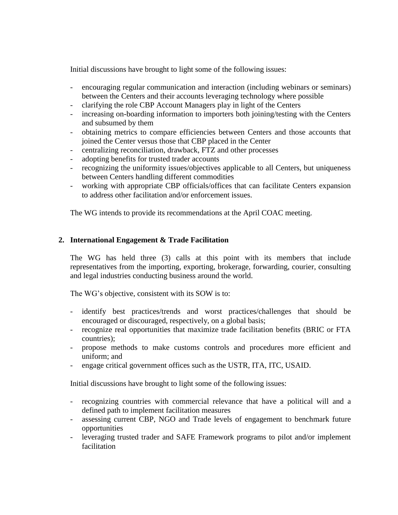Initial discussions have brought to light some of the following issues:

- encouraging regular communication and interaction (including webinars or seminars) between the Centers and their accounts leveraging technology where possible
- clarifying the role CBP Account Managers play in light of the Centers
- increasing on-boarding information to importers both joining/testing with the Centers and subsumed by them
- obtaining metrics to compare efficiencies between Centers and those accounts that joined the Center versus those that CBP placed in the Center
- centralizing reconciliation, drawback, FTZ and other processes
- adopting benefits for trusted trader accounts
- recognizing the uniformity issues/objectives applicable to all Centers, but uniqueness between Centers handling different commodities
- working with appropriate CBP officials/offices that can facilitate Centers expansion to address other facilitation and/or enforcement issues.

The WG intends to provide its recommendations at the April COAC meeting.

# **2. International Engagement & Trade Facilitation**

The WG has held three (3) calls at this point with its members that include representatives from the importing, exporting, brokerage, forwarding, courier, consulting and legal industries conducting business around the world.

The WG's objective, consistent with its SOW is to:

- identify best practices/trends and worst practices/challenges that should be encouraged or discouraged, respectively, on a global basis;
- recognize real opportunities that maximize trade facilitation benefits (BRIC or FTA countries);
- propose methods to make customs controls and procedures more efficient and uniform; and
- engage critical government offices such as the USTR, ITA, ITC, USAID.

Initial discussions have brought to light some of the following issues:

- recognizing countries with commercial relevance that have a political will and a defined path to implement facilitation measures
- assessing current CBP, NGO and Trade levels of engagement to benchmark future opportunities
- leveraging trusted trader and SAFE Framework programs to pilot and/or implement facilitation